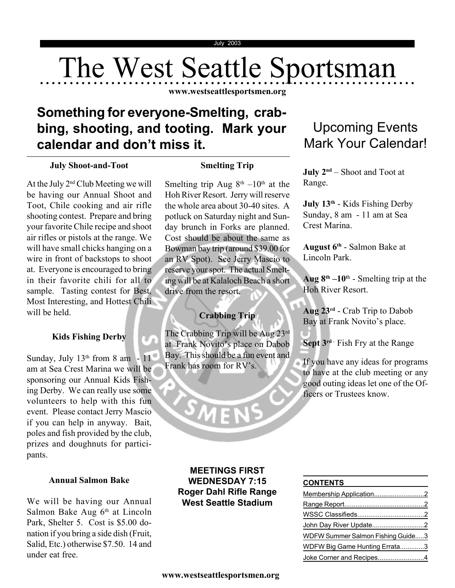# The West Seattle Sportsman

**www.westseattlesportsmen.org**

## **Something for everyone-Smelting, crabbing, shooting, and tooting. Mark your calendar and don't miss it.**

#### **July Shoot-and-Toot**

At the July 2nd Club Meeting we will be having our Annual Shoot and Toot, Chile cooking and air rifle shooting contest. Prepare and bring your favorite Chile recipe and shoot air rifles or pistols at the range. We will have small chicks hanging on a wire in front of backstops to shoot at. Everyone is encouraged to bring in their favorite chili for all to sample. Tasting contest for Best, Most Interesting, and Hottest Chili will be held.

#### **Kids Fishing Derby**

Sunday, July  $13<sup>th</sup>$  from 8 am -  $11<sup>th</sup>$ am at Sea Crest Marina we will be sponsoring our Annual Kids Fishing Derby. We can really use some volunteers to help with this fun event. Please contact Jerry Mascio if you can help in anyway. Bait, poles and fish provided by the club, prizes and doughnuts for participants.

#### **Annual Salmon Bake**

We will be having our Annual Salmon Bake Aug  $6<sup>th</sup>$  at Lincoln Park, Shelter 5. Cost is \$5.00 donation if you bring a side dish (Fruit, Salid, Etc.) otherwise \$7.50. 14 and under eat free.

#### **Smelting Trip**

Smelting trip Aug  $8<sup>th</sup> - 10<sup>th</sup>$  at the Hoh River Resort. Jerry will reserve the whole area about 30-40 sites. A potluck on Saturday night and Sunday brunch in Forks are planned. Cost should be about the same as Bowman bay trip (around \$39.00 for an RV Spot). See Jerry Mascio to reserve your spot. The actual Smelting will be at Kalaloch Beach a short drive from the resort.

#### **Crabbing Trip**

The Crabbing Trip will be Aug 23rd at Frank Novito's place on Dabob Bay. This should be a fun event and Frank has room for RV's.

SMEN

#### **MEETINGS FIRST WEDNESDAY 7:15 Roger Dahl Rifle Range West Seattle Stadium**

## Upcoming Events Mark Your Calendar!

**July 2nd** – Shoot and Toot at Range.

**July 13th** - Kids Fishing Derby Sunday, 8 am - 11 am at Sea Crest Marina.

**August 6th** - Salmon Bake at Lincoln Park.

**Aug 8<sup>th</sup>**  $-10$ <sup>th</sup> - Smelting trip at the Hoh River Resort.

**Aug 23rd** - Crab Trip to Dabob Bay at Frank Novito's place.

**Sept 3<sup>rd</sup>** - Fish Fry at the Range

If you have any ideas for programs to have at the club meeting or any good outing ideas let one of the Officers or Trustees know.

#### **CONTENTS**

| John Day River Update2            |  |
|-----------------------------------|--|
| WDFW Summer Salmon Fishing Guide3 |  |
| WDFW Big Game Hunting Errata3     |  |
| Joke Corner and Recipes4          |  |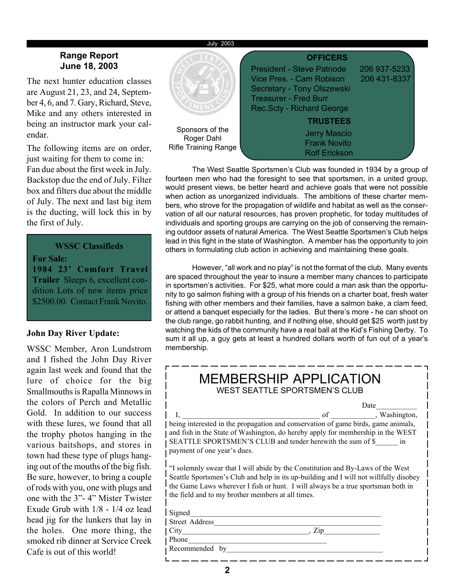#### July 2003

#### **Range Report June 18, 2003**

The next hunter education classes are August 21, 23, and 24, September 4, 6, and 7. Gary, Richard, Steve, Mike and any others interested in being an instructor mark your calendar.

The following items are on order, just waiting for them to come in: Fan due about the first week in July. Backstop due the end of July. Filter box and filters due about the middle of July. The next and last big item is the ducting, will lock this in by the first of July.

**WSSC Classifieds For Sale: 1984 23' Comfort Travel Trailer** Sleeps 6, excellent condition Lots of new items price \$2500.00. Contact Frank Novito.

#### **John Day River Update:**

WSSC Member, Aron Lundstrom and I fished the John Day River again last week and found that the lure of choice for the big Smallmouths is Rapalla Minnows in the colors of Perch and Metallic Gold. In addition to our success with these lures, we found that all the trophy photos hanging in the various baitshops, and stores in town had these type of plugs hanging out of the mouths of the big fish. Be sure, however, to bring a couple of rods with you, one with plugs and one with the 3"- 4" Mister Twister Exude Grub with 1/8 - 1/4 oz lead head jig for the lunkers that lay in the holes. One more thing, the smoked rib dinner at Service Creek Cafe is out of this world!



The West Seattle Sportsmen's Club was founded in 1934 by a group of fourteen men who had the foresight to see that sportsmen, in a united group, would present views, be better heard and achieve goals that were not possible when action as unorganized individuals. The ambitions of these charter members, who strove for the propagation of wildlife and habitat as well as the conservation of all our natural resources, has proven prophetic, for today multitudes of individuals and sporting groups are carrying on the job of conserving the remaining outdoor assets of natural America. The West Seattle Sportsmen's Club helps lead in this fight in the state of Washington. A member has the opportunity to join others in formulating club action in achieving and maintaining these goals.

However, "all work and no play" is not the format of the club. Many events are spaced throughout the year to insure a member many chances to participate in sportsmen's activities. For \$25, what more could a man ask than the opportunity to go salmon fishing with a group of his friends on a charter boat, fresh water fishing with other members and their families, have a salmon bake, a clam feed, or attend a banquet especially for the ladies. But there's more - he can shoot on the club range, go rabbit hunting, and if nothing else, should get \$25 worth just by watching the kids of the community have a real ball at the Kid's Fishing Derby. To sum it all up, a guy gets at least a hundred dollars worth of fun out of a year's membership.

| <b>MEMBERSHIP APPLICATION</b><br><b>WEST SEATTLE SPORTSMEN'S CLUB</b>                                                                                                                                                                                                                                             |  |  |  |  |  |
|-------------------------------------------------------------------------------------------------------------------------------------------------------------------------------------------------------------------------------------------------------------------------------------------------------------------|--|--|--|--|--|
| Date<br>of , Washington,<br>being interested in the propagation and conservation of game birds, game animals,<br>and fish in the State of Washington, do hereby apply for membership in the WEST<br>SEATTLE SPORTSMEN'S CLUB and tender herewith the sum of \$ in<br>payment of one year's dues.                  |  |  |  |  |  |
| "I solemnly swear that I will abide by the Constitution and By-Laws of the West<br>Seattle Sportsmen's Club and help in its up-building and I will not willfully disobey<br>the Game Laws wherever I fish or hunt. I will always be a true sportsman both in<br>the field and to my brother members at all times. |  |  |  |  |  |
| Signed                                                                                                                                                                                                                                                                                                            |  |  |  |  |  |
| <b>Street Address</b><br>City<br>. Zip                                                                                                                                                                                                                                                                            |  |  |  |  |  |
| Phone<br>Recommended<br>by                                                                                                                                                                                                                                                                                        |  |  |  |  |  |
|                                                                                                                                                                                                                                                                                                                   |  |  |  |  |  |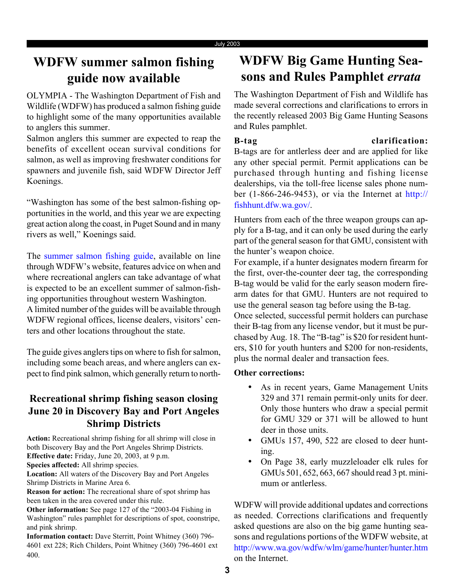## **WDFW summer salmon fishing guide now available**

OLYMPIA - The Washington Department of Fish and Wildlife (WDFW) has produced a salmon fishing guide to highlight some of the many opportunities available to anglers this summer.

Salmon anglers this summer are expected to reap the benefits of excellent ocean survival conditions for salmon, as well as improving freshwater conditions for spawners and juvenile fish, said WDFW Director Jeff Koenings.

"Washington has some of the best salmon-fishing opportunities in the world, and this year we are expecting great action along the coast, in Puget Sound and in many rivers as well," Koenings said.

The summer salmon fishing guide, available on line through WDFW's website, features advice on when and where recreational anglers can take advantage of what is expected to be an excellent summer of salmon-fishing opportunities throughout western Washington. A limited number of the guides will be available through WDFW regional offices, license dealers, visitors' centers and other locations throughout the state.

The guide gives anglers tips on where to fish for salmon, including some beach areas, and where anglers can expect to find pink salmon, which generally return to north-

### **Recreational shrimp fishing season closing June 20 in Discovery Bay and Port Angeles Shrimp Districts**

**Action:** Recreational shrimp fishing for all shrimp will close in both Discovery Bay and the Port Angeles Shrimp Districts. **Effective date:** Friday, June 20, 2003, at 9 p.m.

**Species affected:** All shrimp species.

**Location:** All waters of the Discovery Bay and Port Angeles Shrimp Districts in Marine Area 6.

**Reason for action:** The recreational share of spot shrimp has been taken in the area covered under this rule.

**Other information:** See page 127 of the "2003-04 Fishing in Washington" rules pamphlet for descriptions of spot, coonstripe, and pink shrimp.

**Information contact:** Dave Sterritt, Point Whitney (360) 796- 4601 ext 228; Rich Childers, Point Whitney (360) 796-4601 ext 400.

## **WDFW Big Game Hunting Seasons and Rules Pamphlet** *errata*

The Washington Department of Fish and Wildlife has made several corrections and clarifications to errors in the recently released 2003 Big Game Hunting Seasons and Rules pamphlet.

**B-tag clarification:** B-tags are for antlerless deer and are applied for like any other special permit. Permit applications can be purchased through hunting and fishing license dealerships, via the toll-free license sales phone number (1-866-246-9453), or via the Internet at http:// fishhunt.dfw.wa.gov/.

Hunters from each of the three weapon groups can apply for a B-tag, and it can only be used during the early part of the general season for that GMU, consistent with the hunter's weapon choice.

For example, if a hunter designates modern firearm for the first, over-the-counter deer tag, the corresponding B-tag would be valid for the early season modern firearm dates for that GMU. Hunters are not required to use the general season tag before using the B-tag.

Once selected, successful permit holders can purchase their B-tag from any license vendor, but it must be purchased by Aug. 18. The "B-tag" is \$20 for resident hunters, \$10 for youth hunters and \$200 for non-residents, plus the normal dealer and transaction fees.

#### **Other corrections:**

- As in recent years, Game Management Units 329 and 371 remain permit-only units for deer. Only those hunters who draw a special permit for GMU 329 or 371 will be allowed to hunt deer in those units.
- GMUs 157, 490, 522 are closed to deer hunting.
- On Page 38, early muzzleloader elk rules for GMUs 501, 652, 663, 667 should read 3 pt. minimum or antlerless.

WDFW will provide additional updates and corrections as needed. Corrections clarifications and frequently asked questions are also on the big game hunting seasons and regulations portions of the WDFW website, at http://www.wa.gov/wdfw/wlm/game/hunter/hunter.htm on the Internet.